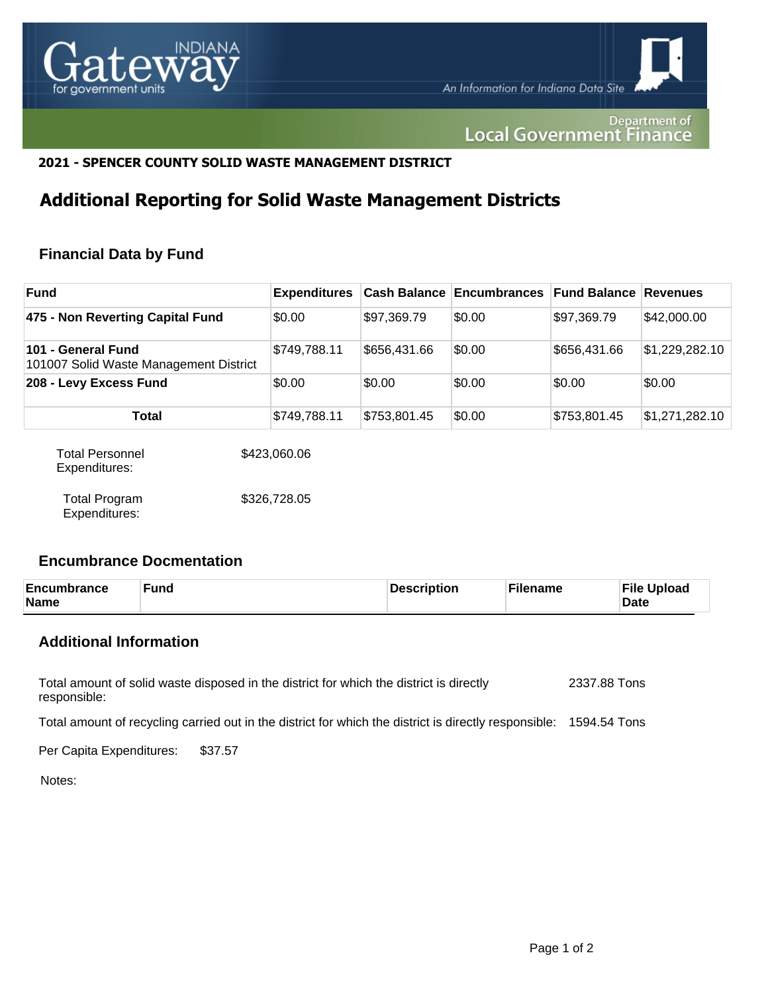

Department of **Local Government Finance** 

#### **2021 - SPENCER COUNTY SOLID WASTE MANAGEMENT DISTRICT**

# **Additional Reporting for Solid Waste Management Districts**

## **Financial Data by Fund**

| <b>Fund</b>                                                  | <b>Expenditures</b> |              | <b>Cash Balance Encumbrances</b> | <b>Fund Balance Revenues</b> |                |
|--------------------------------------------------------------|---------------------|--------------|----------------------------------|------------------------------|----------------|
| 475 - Non Reverting Capital Fund                             | \$0.00              | \$97,369.79  | \$0.00                           | \$97,369.79                  | \$42,000.00    |
| 101 - General Fund<br>101007 Solid Waste Management District | \$749,788.11        | \$656,431.66 | \$0.00                           | \$656,431.66                 | \$1,229,282.10 |
| 208 - Levy Excess Fund                                       | \$0.00              | \$0.00       | \$0.00                           | \$0.00                       | \$0.00         |
| <b>Total</b>                                                 | \$749,788.11        | \$753,801.45 | \$0.00                           | \$753,801.45                 | \$1,271,282.10 |

| <b>Total Personnel</b><br>Expenditures: | \$423,060.06 |
|-----------------------------------------|--------------|
| <b>Total Program</b><br>Expenditures:   | \$326,728.05 |

#### **Encumbrance Docmentation**

| Encumbrance<br><b>Name</b> | <b>Fund</b> | Description | <b>Filename</b> | <b>File Upload</b><br>Date |
|----------------------------|-------------|-------------|-----------------|----------------------------|
|                            |             |             |                 |                            |

## **Additional Information**

Total amount of solid waste disposed in the district for which the district is directly responsible: 2337.88 Tons

Total amount of recycling carried out in the district for which the district is directly responsible: 1594.54 Tons

Per Capita Expenditures: \$37.57

Notes: